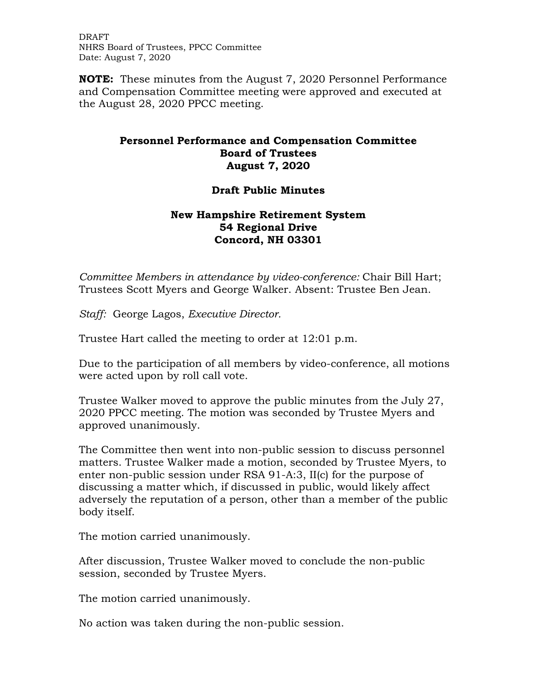DRAFT NHRS Board of Trustees, PPCC Committee Date: August 7, 2020

**NOTE:** These minutes from the August 7, 2020 Personnel Performance and Compensation Committee meeting were approved and executed at the August 28, 2020 PPCC meeting.

## **Personnel Performance and Compensation Committee Board of Trustees August 7, 2020**

## **Draft Public Minutes**

## **New Hampshire Retirement System 54 Regional Drive Concord, NH 03301**

*Committee Members in attendance by video-conference:* Chair Bill Hart; Trustees Scott Myers and George Walker. Absent: Trustee Ben Jean.

*Staff:* George Lagos, *Executive Director.* 

Trustee Hart called the meeting to order at 12:01 p.m.

Due to the participation of all members by video-conference, all motions were acted upon by roll call vote.

Trustee Walker moved to approve the public minutes from the July 27, 2020 PPCC meeting. The motion was seconded by Trustee Myers and approved unanimously.

The Committee then went into non-public session to discuss personnel matters. Trustee Walker made a motion, seconded by Trustee Myers, to enter non-public session under RSA 91-A:3, II(c) for the purpose of discussing a matter which, if discussed in public, would likely affect adversely the reputation of a person, other than a member of the public body itself.

The motion carried unanimously.

After discussion, Trustee Walker moved to conclude the non-public session, seconded by Trustee Myers.

The motion carried unanimously.

No action was taken during the non-public session.